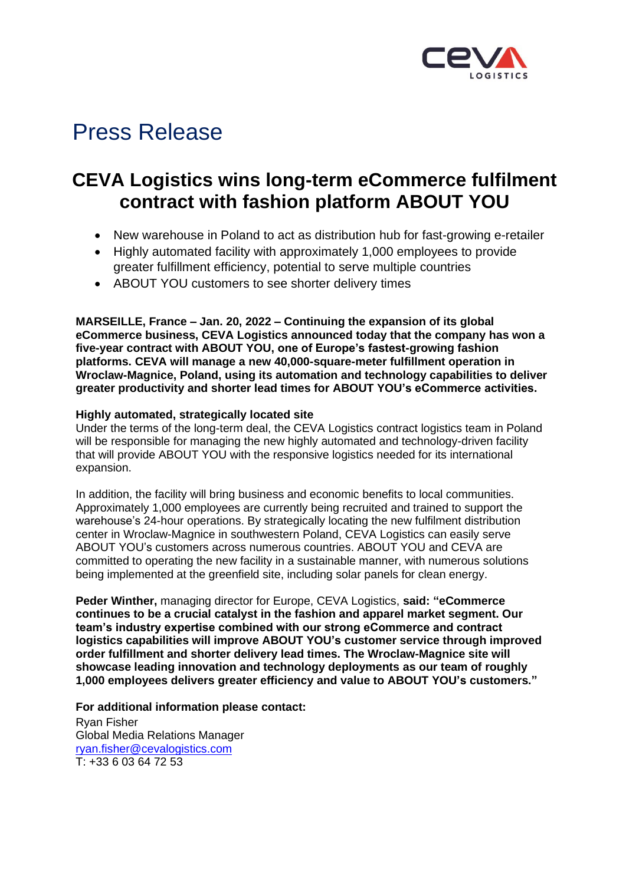

## Press Release

## **CEVA Logistics wins long-term eCommerce fulfilment contract with fashion platform ABOUT YOU**

- New warehouse in Poland to act as distribution hub for fast-growing e-retailer
- Highly automated facility with approximately 1,000 employees to provide greater fulfillment efficiency, potential to serve multiple countries
- ABOUT YOU customers to see shorter delivery times

**MARSEILLE, France – Jan. 20, 2022 – Continuing the expansion of its global eCommerce business, CEVA Logistics announced today that the company has won a five-year contract with ABOUT YOU, one of Europe's fastest-growing fashion platforms. CEVA will manage a new 40,000-square-meter fulfillment operation in Wroclaw-Magnice, Poland, using its automation and technology capabilities to deliver greater productivity and shorter lead times for ABOUT YOU's eCommerce activities.** 

## **Highly automated, strategically located site**

Under the terms of the long-term deal, the CEVA Logistics contract logistics team in Poland will be responsible for managing the new highly automated and technology-driven facility that will provide ABOUT YOU with the responsive logistics needed for its international expansion.

In addition, the facility will bring business and economic benefits to local communities. Approximately 1,000 employees are currently being recruited and trained to support the warehouse's 24-hour operations. By strategically locating the new fulfilment distribution center in Wroclaw-Magnice in southwestern Poland, CEVA Logistics can easily serve ABOUT YOU's customers across numerous countries. ABOUT YOU and CEVA are committed to operating the new facility in a sustainable manner, with numerous solutions being implemented at the greenfield site, including solar panels for clean energy.

**Peder Winther,** managing director for Europe, CEVA Logistics, **said: "eCommerce continues to be a crucial catalyst in the fashion and apparel market segment. Our team's industry expertise combined with our strong eCommerce and contract logistics capabilities will improve ABOUT YOU's customer service through improved order fulfillment and shorter delivery lead times. The Wroclaw-Magnice site will showcase leading innovation and technology deployments as our team of roughly 1,000 employees delivers greater efficiency and value to ABOUT YOU's customers."**

**For additional information please contact:** 

Ryan Fisher Global Media Relations Manager [ryan.fisher@cevalogistics.com](mailto:ryan.fisher@cevalogistics.com) T: +33 6 03 64 72 53